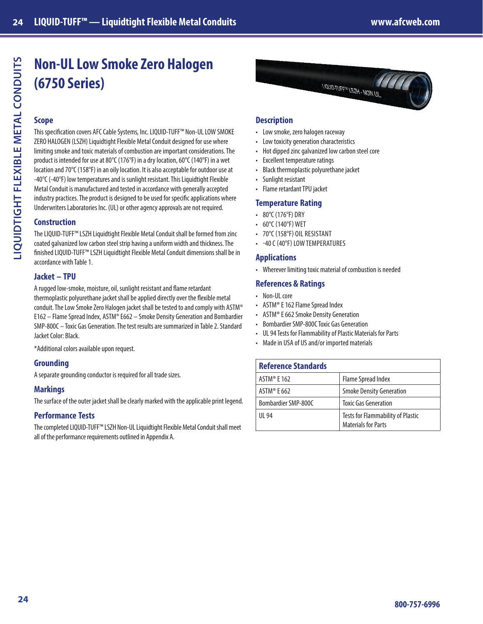# **Non-UL Low Smoke Zero Halogen (6750 Series)**

## **Scope**

This specification covers AFC Cable Systems, Inc. LIQUID-TUFF™ Non-UL LOW SMOKE ZERO HALOGEN (LSZH) Liquidtight Flexible Metal Conduit designed for use where limiting smoke and toxic materials of combustion are important considerations. The product is intended for use at 80°C (176°F) in a dry location, 60°C (140°F) in a wet location and 70°C (158°F) in an oily location. It is also acceptable for outdoor use at -40°C (-40°F) low temperatures and is sunlight resistant. This Liquidtight Flexible Metal Conduit is manufactured and tested in accordance with generally accepted industry practices. The product is designed to be used for specific applications where Underwriters Laboratories Inc. (UL) or other agency approvals are not required.

## **Construction**

The LIQUID-TUFF™ LSZH Liquidtight Flexible Metal Conduit shall be formed from zinc coated galvanized low carbon steel strip having a uniform width and thickness. The finished LIQUID-TUFF™ LSZH Liquidtight Flexible Metal Conduit dimensions shall be in accordance with Table 1.

## **Jacket – TPU**

A rugged low-smoke, moisture, oil, sunlight resistant and flame retardant thermoplastic polyurethane jacket shall be applied directly over the flexible metal conduit. The Low Smoke Zero Halogen jacket shall be tested to and comply with ASTM® E162 – Flame Spread Index, ASTM® E662 – Smoke Density Generation and Bombardier SMP-800C – Toxic Gas Generation. The test results are summarized in Table 2. Standard Jacket Color: Black.

\*Additional colors available upon request.

## **Grounding**

A separate grounding conductor is required for all trade sizes.

#### **Markings**

The surface of the outer jacket shall be clearly marked with the applicable print legend.

## **Performance Tests**

The completed LIQUID-TUFF™ LSZH Non-UL Liquidtight Flexible Metal Conduit shall meet all of the performance requirements outlined in Appendix A.



## **Description**

- Low smoke, zero halogen raceway
- Low toxicity generation characteristics
- Hot dipped zinc galvanized low carbon steel core
- Excellent temperature ratings
- Black thermoplastic polyurethane jacket
- Sunlight resistant
- Flame retardant TPU jacket

## **Temperature Rating**

- 80°C (176°F) DRY
- 60°C (140°F) WET
- 70°C (158°F) OIL RESISTANT
- -40 C (40°F) LOW TEMPERATURES

## **Applications**

• Wherever limiting toxic material of combustion is needed

## **References & Ratings**

- Non-UL core
- ASTM® E 162 Flame Spread Index
- ASTM® E 662 Smoke Density Generation
- Bombardier SMP-800C Toxic Gas Generation
- UL 94 Tests for Flammability of Plastic Materials for Parts
- Made in USA of US and/or imported materials

| <b>Reference Standards</b> |                                                                 |
|----------------------------|-----------------------------------------------------------------|
| ASTM <sup>®</sup> E 162    | Flame Spread Index                                              |
| ASTM <sup>®</sup> E 662    | <b>Smoke Density Generation</b>                                 |
| Bombardier SMP-800C        | <b>Toxic Gas Generation</b>                                     |
| UI 94                      | Tests for Flammability of Plastic<br><b>Materials for Parts</b> |